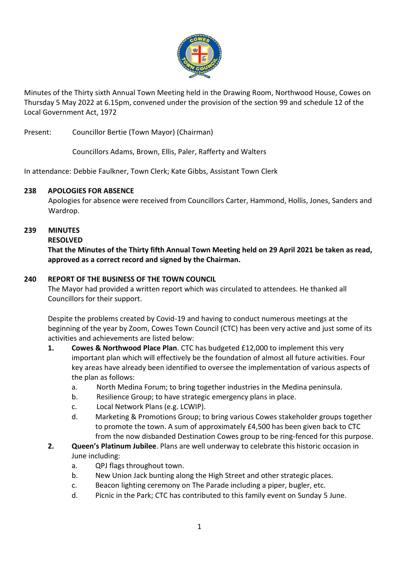

Minutes of the Thirty sixth Annual Town Meeting held in the Drawing Room, Northwood House, Cowes on Thursday 5 May 2022 at 6.15pm, convened under the provision of the section 99 and schedule 12 of the Local Government Act, 1972

Present: Councillor Bertie (Town Mayor) (Chairman)

Councillors Adams, Brown, Ellis, Paler, Rafferty and Walters

In attendance: Debbie Faulkner, Town Clerk; Kate Gibbs, Assistant Town Clerk

### **238 APOLOGIES FOR ABSENCE**

Apologies for absence were received from Councillors Carter, Hammond, Hollis, Jones, Sanders and Wardrop.

# **239 MINUTES**

### **RESOLVED**

**That the Minutes of the Thirty fifth Annual Town Meeting held on 29 April 2021 be taken as read, approved as a correct record and signed by the Chairman.**

## **240 REPORT OF THE BUSINESS OF THE TOWN COUNCIL**

The Mayor had provided a written report which was circulated to attendees. He thanked all Councillors for their support.

Despite the problems created by Covid-19 and having to conduct numerous meetings at the beginning of the year by Zoom, Cowes Town Council (CTC) has been very active and just some of its activities and achievements are listed below:

- **1. Cowes & Northwood Place Plan**. CTC has budgeted £12,000 to implement this very important plan which will effectively be the foundation of almost all future activities. Four key areas have already been identified to oversee the implementation of various aspects of the plan as follows:
	- a. North Medina Forum; to bring together industries in the Medina peninsula.
	- b. Resilience Group; to have strategic emergency plans in place.
	- c. Local Network Plans (e.g. LCWIP).
	- d. Marketing & Promotions Group; to bring various Cowes stakeholder groups together to promote the town. A sum of approximately £4,500 has been given back to CTC from the now disbanded Destination Cowes group to be ring-fenced for this purpose.
- **2. Queen's Platinum Jubilee**. Plans are well underway to celebrate this historic occasion in June including:
	- a. QPJ flags throughout town.
	- b. New Union Jack bunting along the High Street and other strategic places.
	- c. Beacon lighting ceremony on The Parade including a piper, bugler, etc.
	- d. Picnic in the Park; CTC has contributed to this family event on Sunday 5 June.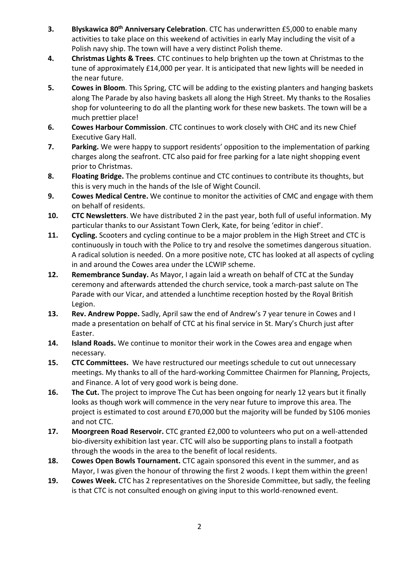- **3. Blyskawica 80th Anniversary Celebration**. CTC has underwritten £5,000 to enable many activities to take place on this weekend of activities in early May including the visit of a Polish navy ship. The town will have a very distinct Polish theme.
- **4. Christmas Lights & Trees**. CTC continues to help brighten up the town at Christmas to the tune of approximately £14,000 per year. It is anticipated that new lights will be needed in the near future.
- **5. Cowes in Bloom**. This Spring, CTC will be adding to the existing planters and hanging baskets along The Parade by also having baskets all along the High Street. My thanks to the Rosalies shop for volunteering to do all the planting work for these new baskets. The town will be a much prettier place!
- **6. Cowes Harbour Commission**. CTC continues to work closely with CHC and its new Chief Executive Gary Hall.
- **7. Parking.** We were happy to support residents' opposition to the implementation of parking charges along the seafront. CTC also paid for free parking for a late night shopping event prior to Christmas.
- **8. Floating Bridge.** The problems continue and CTC continues to contribute its thoughts, but this is very much in the hands of the Isle of Wight Council.
- **9. Cowes Medical Centre.** We continue to monitor the activities of CMC and engage with them on behalf of residents.
- **10. CTC Newsletters**. We have distributed 2 in the past year, both full of useful information. My particular thanks to our Assistant Town Clerk, Kate, for being 'editor in chief'.
- **11. Cycling.** Scooters and cycling continue to be a major problem in the High Street and CTC is continuously in touch with the Police to try and resolve the sometimes dangerous situation. A radical solution is needed. On a more positive note, CTC has looked at all aspects of cycling in and around the Cowes area under the LCWIP scheme.
- **12. Remembrance Sunday.** As Mayor, I again laid a wreath on behalf of CTC at the Sunday ceremony and afterwards attended the church service, took a march-past salute on The Parade with our Vicar, and attended a lunchtime reception hosted by the Royal British Legion.
- **13. Rev. Andrew Poppe.** Sadly, April saw the end of Andrew's 7 year tenure in Cowes and I made a presentation on behalf of CTC at his final service in St. Mary's Church just after Easter.
- **14. Island Roads.** We continue to monitor their work in the Cowes area and engage when necessary.
- **15. CTC Committees.** We have restructured our meetings schedule to cut out unnecessary meetings. My thanks to all of the hard-working Committee Chairmen for Planning, Projects, and Finance. A lot of very good work is being done.
- **16. The Cut.** The project to improve The Cut has been ongoing for nearly 12 years but it finally looks as though work will commence in the very near future to improve this area. The project is estimated to cost around £70,000 but the majority will be funded by S106 monies and not CTC.
- **17. Moorgreen Road Reservoir.** CTC granted £2,000 to volunteers who put on a well-attended bio-diversity exhibition last year. CTC will also be supporting plans to install a footpath through the woods in the area to the benefit of local residents.
- **18. Cowes Open Bowls Tournament.** CTC again sponsored this event in the summer, and as Mayor, I was given the honour of throwing the first 2 woods. I kept them within the green!
- **19. Cowes Week.** CTC has 2 representatives on the Shoreside Committee, but sadly, the feeling is that CTC is not consulted enough on giving input to this world-renowned event.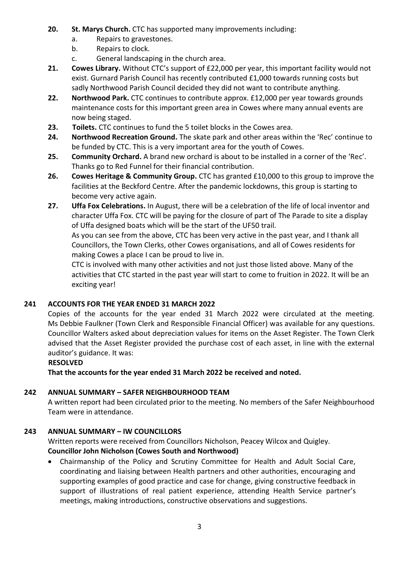- **20. St. Marys Church.** CTC has supported many improvements including:
	- a. Repairs to gravestones.
	- b. Repairs to clock.
	- c. General landscaping in the church area.
- **21. Cowes Library.** Without CTC's support of £22,000 per year, this important facility would not exist. Gurnard Parish Council has recently contributed £1,000 towards running costs but sadly Northwood Parish Council decided they did not want to contribute anything.
- **22. Northwood Park.** CTC continues to contribute approx. £12,000 per year towards grounds maintenance costs for this important green area in Cowes where many annual events are now being staged.
- **23. Toilets.** CTC continues to fund the 5 toilet blocks in the Cowes area.
- **24. Northwood Recreation Ground.** The skate park and other areas within the 'Rec' continue to be funded by CTC. This is a very important area for the youth of Cowes.
- **25. Community Orchard.** A brand new orchard is about to be installed in a corner of the 'Rec'. Thanks go to Red Funnel for their financial contribution.
- **26. Cowes Heritage & Community Group.** CTC has granted £10,000 to this group to improve the facilities at the Beckford Centre. After the pandemic lockdowns, this group is starting to become very active again.
- **27. Uffa Fox Celebrations.** In August, there will be a celebration of the life of local inventor and character Uffa Fox. CTC will be paying for the closure of part of The Parade to site a display of Uffa designed boats which will be the start of the UF50 trail.

As you can see from the above, CTC has been very active in the past year, and I thank all Councillors, the Town Clerks, other Cowes organisations, and all of Cowes residents for making Cowes a place I can be proud to live in.

CTC is involved with many other activities and not just those listed above. Many of the activities that CTC started in the past year will start to come to fruition in 2022. It will be an exciting year!

# **241 ACCOUNTS FOR THE YEAR ENDED 31 MARCH 2022**

Copies of the accounts for the year ended 31 March 2022 were circulated at the meeting. Ms Debbie Faulkner (Town Clerk and Responsible Financial Officer) was available for any questions. Councillor Walters asked about depreciation values for items on the Asset Register. The Town Clerk advised that the Asset Register provided the purchase cost of each asset, in line with the external auditor's guidance. It was:

#### **RESOLVED**

**That the accounts for the year ended 31 March 2022 be received and noted.**

# **242 ANNUAL SUMMARY – SAFER NEIGHBOURHOOD TEAM**

A written report had been circulated prior to the meeting. No members of the Safer Neighbourhood Team were in attendance.

# **243 ANNUAL SUMMARY – IW COUNCILLORS**

Written reports were received from Councillors Nicholson, Peacey Wilcox and Quigley. **Councillor John Nicholson (Cowes South and Northwood)**

 Chairmanship of the Policy and Scrutiny Committee for Health and Adult Social Care, coordinating and liaising between Health partners and other authorities, encouraging and supporting examples of good practice and case for change, giving constructive feedback in support of illustrations of real patient experience, attending Health Service partner's meetings, making introductions, constructive observations and suggestions.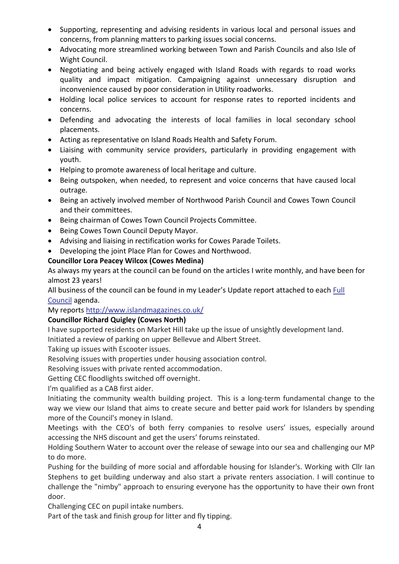- Supporting, representing and advising residents in various local and personal issues and concerns, from planning matters to parking issues social concerns.
- Advocating more streamlined working between Town and Parish Councils and also Isle of Wight Council.
- Negotiating and being actively engaged with Island Roads with regards to road works quality and impact mitigation. Campaigning against unnecessary disruption and inconvenience caused by poor consideration in Utility roadworks.
- Holding local police services to account for response rates to reported incidents and concerns.
- Defending and advocating the interests of local families in local secondary school placements.
- Acting as representative on Island Roads Health and Safety Forum.
- Liaising with community service providers, particularly in providing engagement with youth.
- Helping to promote awareness of local heritage and culture.
- Being outspoken, when needed, to represent and voice concerns that have caused local outrage.
- Being an actively involved member of Northwood Parish Council and Cowes Town Council and their committees.
- Being chairman of Cowes Town Council Projects Committee.
- Being Cowes Town Council Deputy Mayor.
- Advising and liaising in rectification works for Cowes Parade Toilets.
- Developing the joint Place Plan for Cowes and Northwood.

### **Councillor Lora Peacey Wilcox (Cowes Medina)**

As always my years at the council can be found on the articles I write monthly, and have been for almost 23 years!

All business of the council can be found in my Leader's Update report attached to each [Full](https://iow.moderngov.co.uk/ieListMeetings.aspx?CId=172&Year=0)  [Council](https://iow.moderngov.co.uk/ieListMeetings.aspx?CId=172&Year=0) agenda.

My reports [http://www.islandmagazines.co.uk/](https://smex-ctp.trendmicro.com/wis/clicktime/v1/query?url=http%3a%2f%2fwww.islandmagazines.co.uk&umid=f78b6695-282b-4e49-9c96-17e96fc41fad&auth=b24ccf14420d556f6775a226761900e318ae6efe-e676745b3fe70ec2864179c232985f02af3732c0)

#### **Councillor Richard Quigley (Cowes North)**

I have supported residents on Market Hill take up the issue of unsightly development land.

Initiated a review of parking on upper Bellevue and Albert Street.

Taking up issues with Escooter issues.

Resolving issues with properties under housing association control.

Resolving issues with private rented accommodation.

Getting CEC floodlights switched off overnight.

I'm qualified as a CAB first aider.

Initiating the community wealth building project. This is a long-term fundamental change to the way we view our Island that aims to create secure and better paid work for Islanders by spending more of the Council's money in Island.

Meetings with the CEO's of both ferry companies to resolve users' issues, especially around accessing the NHS discount and get the users' forums reinstated.

Holding Southern Water to account over the release of sewage into our sea and challenging our MP to do more.

Pushing for the building of more social and affordable housing for Islander's. Working with Cllr Ian Stephens to get building underway and also start a private renters association. I will continue to challenge the "nimby" approach to ensuring everyone has the opportunity to have their own front door.

Challenging CEC on pupil intake numbers.

Part of the task and finish group for litter and fly tipping.